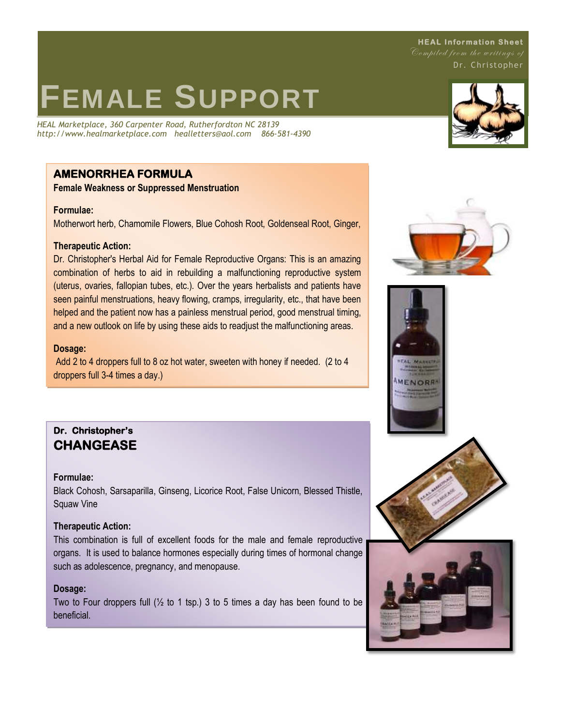**HEAL Information Sheet** Compiled from the writings of Dr. Christopher

# **FEMALE SUPPORT**

*HEAL Marketplace, 360 Carpenter Road, Rutherfordton NC 28139 http://www.healmarketplace.com healletters@aol.com 866-581-4390*

# **AMENORRHEA FORMULA**

**Female Weakness or Suppressed Menstruation**

## **Formulae:**

Motherwort herb, Chamomile Flowers, Blue Cohosh Root, Goldenseal Root, Ginger,

## **Therapeutic Action:**

Dr. Christopher's Herbal Aid for Female Reproductive Organs: This is an amazing combination of herbs to aid in rebuilding a malfunctioning reproductive system (uterus, ovaries, fallopian tubes, etc.). Over the years herbalists and patients have seen painful menstruations, heavy flowing, cramps, irregularity, etc., that have been helped and the patient now has a painless menstrual period, good menstrual timing, and a new outlook on life by using these aids to readjust the malfunctioning areas.

## **Dosage:**

Add 2 to 4 droppers full to 8 oz hot water, sweeten with honey if needed. (2 to 4 droppers full 3-4 times a day.)

# **Dr. Christopher's CHANGEASE**

## **Formulae:**

Black Cohosh, Sarsaparilla, Ginseng, Licorice Root, False Unicorn, Blessed Thistle, Squaw Vine

## **Therapeutic Action:**

This combination is full of excellent foods for the male and female reproductive organs. It is used to balance hormones especially during times of hormonal change such as adolescence, pregnancy, and menopause.

## **Dosage:**

Two to Four droppers full  $(\frac{1}{2}$  to 1 tsp.) 3 to 5 times a day has been found to be beneficial.









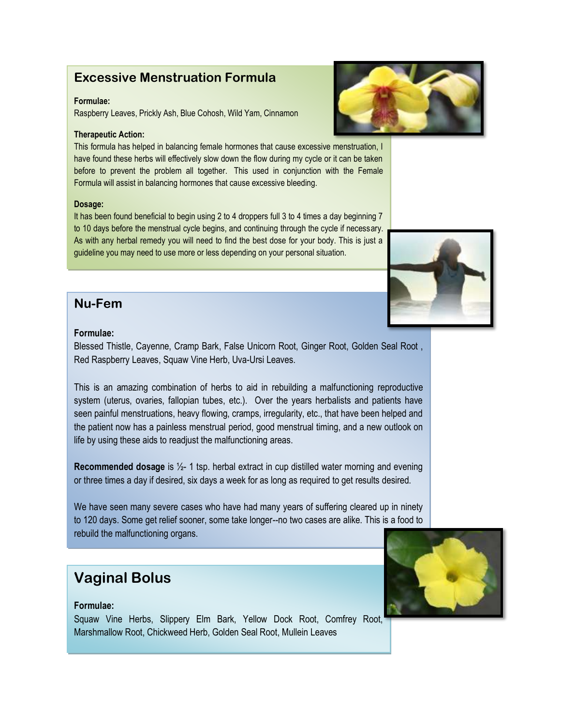# **Excessive Menstruation Formula**

## **Formulae:**

Raspberry Leaves, Prickly Ash, Blue Cohosh, Wild Yam, Cinnamon

## **Therapeutic Action:**

This formula has helped in balancing female hormones that cause excessive menstruation, I have found these herbs will effectively slow down the flow during my cycle or it can be taken before to prevent the problem all together. This used in conjunction with the Female Formula will assist in balancing hormones that cause excessive bleeding.

### **Dosage:**

It has been found beneficial to begin using 2 to 4 droppers full 3 to 4 times a day beginning 7 to 10 days before the menstrual cycle begins, and continuing through the cycle if necessary. As with any herbal remedy you will need to find the best dose for your body. This is just a guideline you may need to use more or less depending on your personal situation.

# **Nu-Fem**

## **Formulae:**

Blessed Thistle, Cayenne, Cramp Bark, False Unicorn Root, Ginger Root, Golden Seal Root , Red Raspberry Leaves, Squaw Vine Herb, Uva-Ursi Leaves.

This is an amazing combination of herbs to aid in rebuilding a malfunctioning reproductive system (uterus, ovaries, fallopian tubes, etc.). Over the years herbalists and patients have seen painful menstruations, heavy flowing, cramps, irregularity, etc., that have been helped and the patient now has a painless menstrual period, good menstrual timing, and a new outlook on life by using these aids to readjust the malfunctioning areas.

**Recommended dosage** is ½- 1 tsp. herbal extract in cup distilled water morning and evening or three times a day if desired, six days a week for as long as required to get results desired.

We have seen many severe cases who have had many years of suffering cleared up in ninety to 120 days. Some get relief sooner, some take longer--no two cases are alike. This is a food to rebuild the malfunctioning organs.

# **Vaginal Bolus**

## **Formulae:**

Squaw Vine Herbs, Slippery Elm Bark, Yellow Dock Root, Comfrey Root, Marshmallow Root, Chickweed Herb, Golden Seal Root, Mullein Leaves